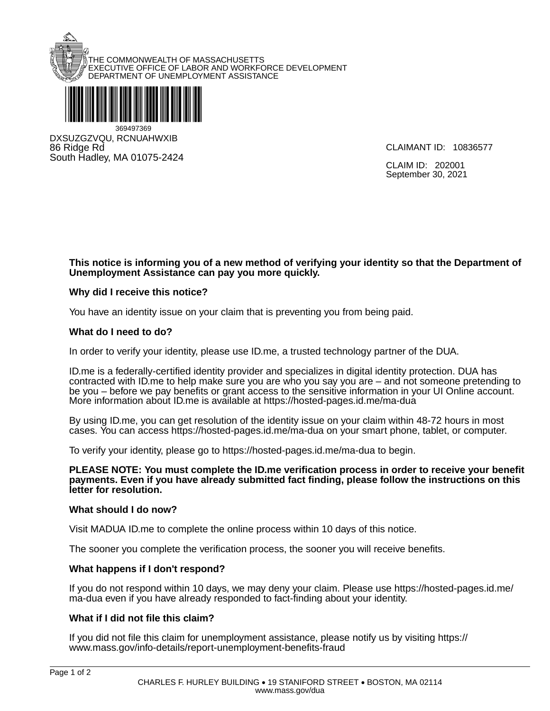



86 Ridge Rd South Hadley, MA 01075-2424

CLAIMANT ID: 10836577

CLAIM ID: 202001 September 30, 2021

### **This notice is informing you of a new method of verifying your identity so that the Department of Unemployment Assistance can pay you more quickly.**

## **Why did I receive this notice?**

You have an identity issue on your claim that is preventing you from being paid.

#### **What do I need to do?**

In order to verify your identity, please use ID.me, a trusted technology partner of the DUA.

ID.me is a federally-certified identity provider and specializes in digital identity protection. DUA has contracted with ID.me to help make sure you are who you say you are – and not someone pretending to be you – before we pay benefits or grant access to the sensitive information in your UI Online account. More information about ID.me is available at https://hosted-pages.id.me/ma-dua

By using ID.me, you can get resolution of the identity issue on your claim within 48-72 hours in most cases. You can access https://hosted-pages.id.me/ma-dua on your smart phone, tablet, or computer.

To verify your identity, please go to https://hosted-pages.id.me/ma-dua to begin.

**PLEASE NOTE: You must complete the ID.me verification process in order to receive your benefit payments. Even if you have already submitted fact finding, please follow the instructions on this letter for resolution.** 

#### **What should I do now?**

Visit MADUA ID.me to complete the online process within 10 days of this notice.

The sooner you complete the verification process, the sooner you will receive benefits.

#### **What happens if I don't respond?**

If you do not respond within 10 days, we may deny your claim. Please use https://hosted-pages.id.me/ ma-dua even if you have already responded to fact-finding about your identity.

#### **What if I did not file this claim?**

If you did not file this claim for unemployment assistance, please notify us by visiting https:// www.mass.gov/info-details/report-unemployment-benefits-fraud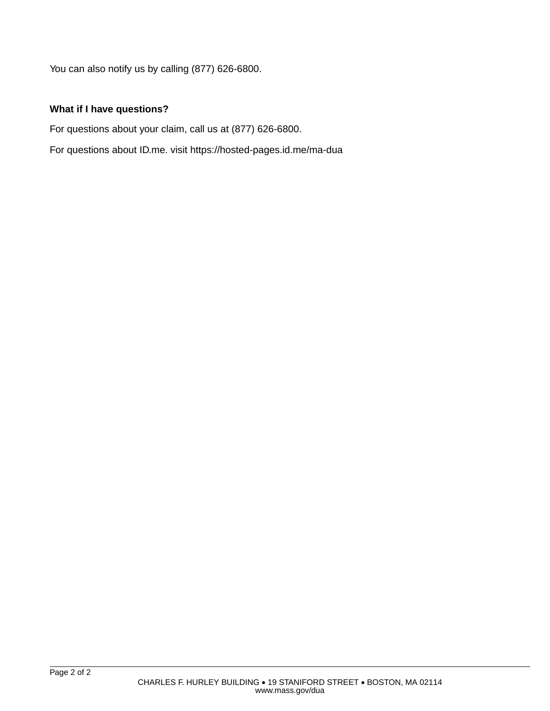You can also notify us by calling (877) 626-6800.

# **What if I have questions?**

For questions about your claim, call us at (877) 626-6800.

For questions about ID.me. visit https://hosted-pages.id.me/ma-dua